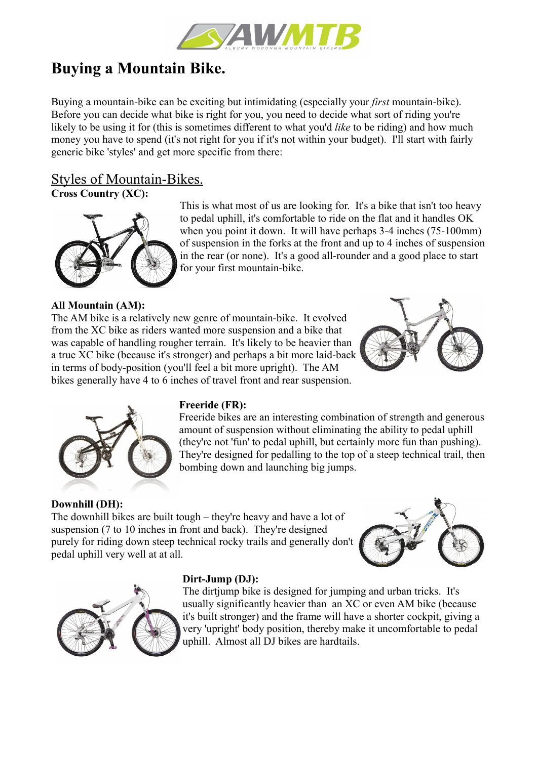

# **Buying a Mountain Bike.**

Buying a mountain-bike can be exciting but intimidating (especially your *first* mountain-bike). Before you can decide what bike is right for you, you need to decide what sort of riding you're likely to be using it for (this is sometimes different to what you'd *like* to be riding) and how much money you have to spend (it's not right for you if it's not within your budget). I'll start with fairly generic bike 'styles' and get more specific from there:

## Styles of Mountain-Bikes.

**Cross Country (XC):**



This is what most of us are looking for. It's a bike that isn't too heavy to pedal uphill, it's comfortable to ride on the flat and it handles OK when you point it down. It will have perhaps 3-4 inches (75-100mm) of suspension in the forks at the front and up to 4 inches of suspension in the rear (or none). It's a good all-rounder and a good place to start for your first mountain-bike.

## **All Mountain (AM):**

The AM bike is a relatively new genre of mountain-bike. It evolved from the XC bike as riders wanted more suspension and a bike that was capable of handling rougher terrain. It's likely to be heavier than a true XC bike (because it's stronger) and perhaps a bit more laid-back in terms of body-position (you'll feel a bit more upright). The AM bikes generally have 4 to 6 inches of travel front and rear suspension.





## **Freeride (FR):**

Freeride bikes are an interesting combination of strength and generous amount of suspension without eliminating the ability to pedal uphill (they're not 'fun' to pedal uphill, but certainly more fun than pushing). They're designed for pedalling to the top of a steep technical trail, then bombing down and launching big jumps.

## **Downhill (DH):**

The downhill bikes are built tough – they're heavy and have a lot of suspension (7 to 10 inches in front and back). They're designed purely for riding down steep technical rocky trails and generally don't pedal uphill very well at at all.





## **Dirt-Jump (DJ):**

The dirtiump bike is designed for jumping and urban tricks. It's usually significantly heavier than an XC or even AM bike (because it's built stronger) and the frame will have a shorter cockpit, giving a very 'upright' body position, thereby make it uncomfortable to pedal uphill. Almost all DJ bikes are hardtails.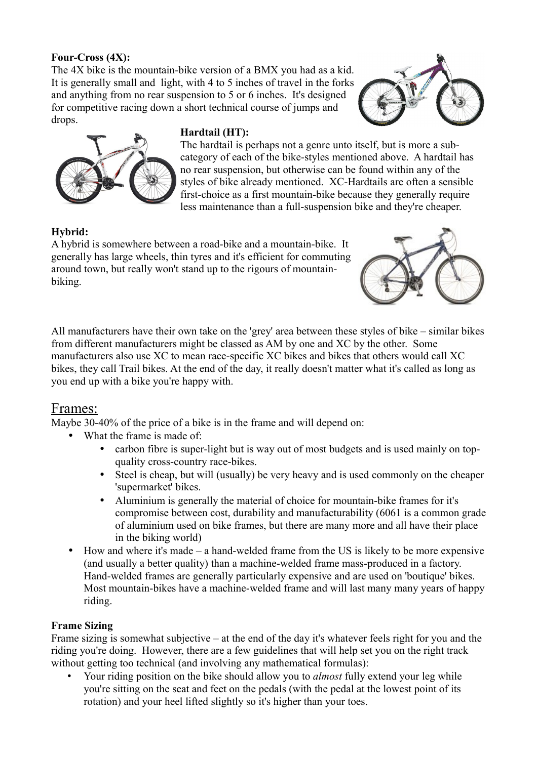## **Four-Cross (4X):**

The 4X bike is the mountain-bike version of a BMX you had as a kid. It is generally small and light, with 4 to 5 inches of travel in the forks and anything from no rear suspension to 5 or 6 inches. It's designed for competitive racing down a short technical course of jumps and drops.





## **Hardtail (HT):**

The hardtail is perhaps not a genre unto itself, but is more a subcategory of each of the bike-styles mentioned above. A hardtail has no rear suspension, but otherwise can be found within any of the styles of bike already mentioned. XC-Hardtails are often a sensible first-choice as a first mountain-bike because they generally require less maintenance than a full-suspension bike and they're cheaper.

## **Hybrid:**

A hybrid is somewhere between a road-bike and a mountain-bike. It generally has large wheels, thin tyres and it's efficient for commuting around town, but really won't stand up to the rigours of mountainbiking.



All manufacturers have their own take on the 'grey' area between these styles of bike – similar bikes from different manufacturers might be classed as AM by one and XC by the other. Some manufacturers also use XC to mean race-specific XC bikes and bikes that others would call XC bikes, they call Trail bikes. At the end of the day, it really doesn't matter what it's called as long as you end up with a bike you're happy with.

## Frames:

Maybe 30-40% of the price of a bike is in the frame and will depend on:

- What the frame is made of:
	- carbon fibre is super-light but is way out of most budgets and is used mainly on topquality cross-country race-bikes.
	- Steel is cheap, but will (usually) be very heavy and is used commonly on the cheaper 'supermarket' bikes.
	- Aluminium is generally the material of choice for mountain-bike frames for it's compromise between cost, durability and manufacturability (6061 is a common grade of aluminium used on bike frames, but there are many more and all have their place in the biking world)
- How and where it's made a hand-welded frame from the US is likely to be more expensive (and usually a better quality) than a machine-welded frame mass-produced in a factory. Hand-welded frames are generally particularly expensive and are used on 'boutique' bikes. Most mountain-bikes have a machine-welded frame and will last many many years of happy riding.

## **Frame Sizing**

Frame sizing is somewhat subjective – at the end of the day it's whatever feels right for you and the riding you're doing. However, there are a few guidelines that will help set you on the right track without getting too technical (and involving any mathematical formulas):

• Your riding position on the bike should allow you to *almost* fully extend your leg while you're sitting on the seat and feet on the pedals (with the pedal at the lowest point of its rotation) and your heel lifted slightly so it's higher than your toes.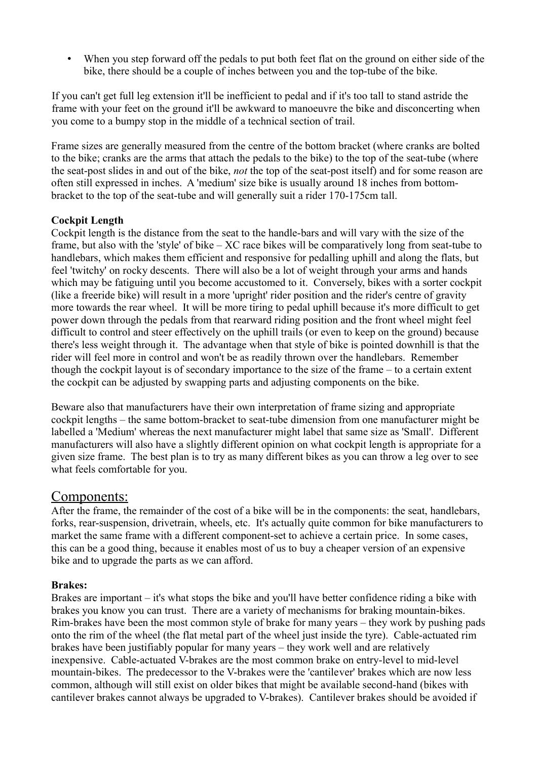When you step forward off the pedals to put both feet flat on the ground on either side of the bike, there should be a couple of inches between you and the top-tube of the bike.

If you can't get full leg extension it'll be inefficient to pedal and if it's too tall to stand astride the frame with your feet on the ground it'll be awkward to manoeuvre the bike and disconcerting when you come to a bumpy stop in the middle of a technical section of trail.

Frame sizes are generally measured from the centre of the bottom bracket (where cranks are bolted to the bike; cranks are the arms that attach the pedals to the bike) to the top of the seat-tube (where the seat-post slides in and out of the bike, *not* the top of the seat-post itself) and for some reason are often still expressed in inches. A 'medium' size bike is usually around 18 inches from bottombracket to the top of the seat-tube and will generally suit a rider 170-175cm tall.

## **Cockpit Length**

Cockpit length is the distance from the seat to the handle-bars and will vary with the size of the frame, but also with the 'style' of bike – XC race bikes will be comparatively long from seat-tube to handlebars, which makes them efficient and responsive for pedalling uphill and along the flats, but feel 'twitchy' on rocky descents. There will also be a lot of weight through your arms and hands which may be fatiguing until you become accustomed to it. Conversely, bikes with a sorter cockpit (like a freeride bike) will result in a more 'upright' rider position and the rider's centre of gravity more towards the rear wheel. It will be more tiring to pedal uphill because it's more difficult to get power down through the pedals from that rearward riding position and the front wheel might feel difficult to control and steer effectively on the uphill trails (or even to keep on the ground) because there's less weight through it. The advantage when that style of bike is pointed downhill is that the rider will feel more in control and won't be as readily thrown over the handlebars. Remember though the cockpit layout is of secondary importance to the size of the frame – to a certain extent the cockpit can be adjusted by swapping parts and adjusting components on the bike.

Beware also that manufacturers have their own interpretation of frame sizing and appropriate cockpit lengths – the same bottom-bracket to seat-tube dimension from one manufacturer might be labelled a 'Medium' whereas the next manufacturer might label that same size as 'Small'. Different manufacturers will also have a slightly different opinion on what cockpit length is appropriate for a given size frame. The best plan is to try as many different bikes as you can throw a leg over to see what feels comfortable for you.

## Components:

After the frame, the remainder of the cost of a bike will be in the components: the seat, handlebars, forks, rear-suspension, drivetrain, wheels, etc. It's actually quite common for bike manufacturers to market the same frame with a different component-set to achieve a certain price. In some cases, this can be a good thing, because it enables most of us to buy a cheaper version of an expensive bike and to upgrade the parts as we can afford.

## **Brakes:**

Brakes are important – it's what stops the bike and you'll have better confidence riding a bike with brakes you know you can trust. There are a variety of mechanisms for braking mountain-bikes. Rim-brakes have been the most common style of brake for many years – they work by pushing pads onto the rim of the wheel (the flat metal part of the wheel just inside the tyre). Cable-actuated rim brakes have been justifiably popular for many years – they work well and are relatively inexpensive. Cable-actuated V-brakes are the most common brake on entry-level to mid-level mountain-bikes. The predecessor to the V-brakes were the 'cantilever' brakes which are now less common, although will still exist on older bikes that might be available second-hand (bikes with cantilever brakes cannot always be upgraded to V-brakes). Cantilever brakes should be avoided if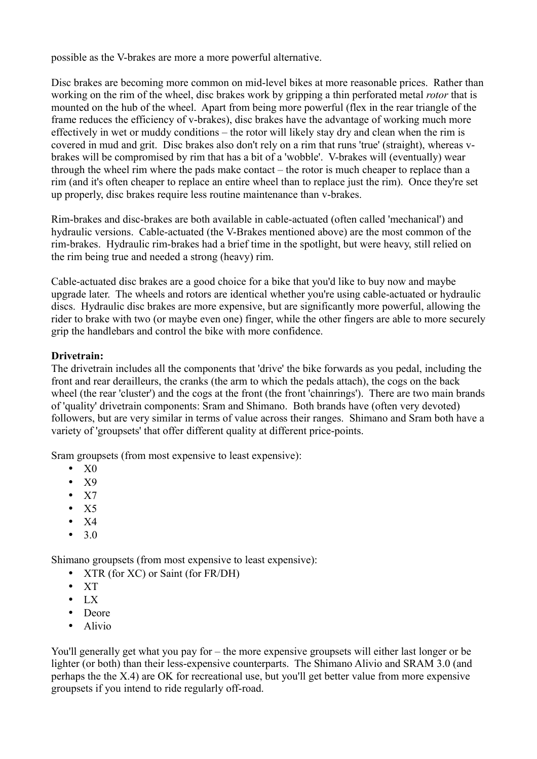possible as the V-brakes are more a more powerful alternative.

Disc brakes are becoming more common on mid-level bikes at more reasonable prices. Rather than working on the rim of the wheel, disc brakes work by gripping a thin perforated metal *rotor* that is mounted on the hub of the wheel. Apart from being more powerful (flex in the rear triangle of the frame reduces the efficiency of v-brakes), disc brakes have the advantage of working much more effectively in wet or muddy conditions – the rotor will likely stay dry and clean when the rim is covered in mud and grit. Disc brakes also don't rely on a rim that runs 'true' (straight), whereas vbrakes will be compromised by rim that has a bit of a 'wobble'. V-brakes will (eventually) wear through the wheel rim where the pads make contact – the rotor is much cheaper to replace than a rim (and it's often cheaper to replace an entire wheel than to replace just the rim). Once they're set up properly, disc brakes require less routine maintenance than v-brakes.

Rim-brakes and disc-brakes are both available in cable-actuated (often called 'mechanical') and hydraulic versions. Cable-actuated (the V-Brakes mentioned above) are the most common of the rim-brakes. Hydraulic rim-brakes had a brief time in the spotlight, but were heavy, still relied on the rim being true and needed a strong (heavy) rim.

Cable-actuated disc brakes are a good choice for a bike that you'd like to buy now and maybe upgrade later. The wheels and rotors are identical whether you're using cable-actuated or hydraulic discs. Hydraulic disc brakes are more expensive, but are significantly more powerful, allowing the rider to brake with two (or maybe even one) finger, while the other fingers are able to more securely grip the handlebars and control the bike with more confidence.

## **Drivetrain:**

The drivetrain includes all the components that 'drive' the bike forwards as you pedal, including the front and rear derailleurs, the cranks (the arm to which the pedals attach), the cogs on the back wheel (the rear 'cluster') and the cogs at the front (the front 'chainrings'). There are two main brands of 'quality' drivetrain components: Sram and Shimano. Both brands have (often very devoted) followers, but are very similar in terms of value across their ranges. Shimano and Sram both have a variety of 'groupsets' that offer different quality at different price-points.

Sram groupsets (from most expensive to least expensive):

- $\bullet$  X<sub>0</sub>
- X9
- $\bullet$  X7
- $\bullet$  X5
- $\bullet$  X4
- 3.0

Shimano groupsets (from most expensive to least expensive):

- XTR (for XC) or Saint (for FR/DH)
- XT
- $\bullet$  LX
- Deore
- Alivio

You'll generally get what you pay for – the more expensive groupsets will either last longer or be lighter (or both) than their less-expensive counterparts. The Shimano Alivio and SRAM 3.0 (and perhaps the the X.4) are OK for recreational use, but you'll get better value from more expensive groupsets if you intend to ride regularly off-road.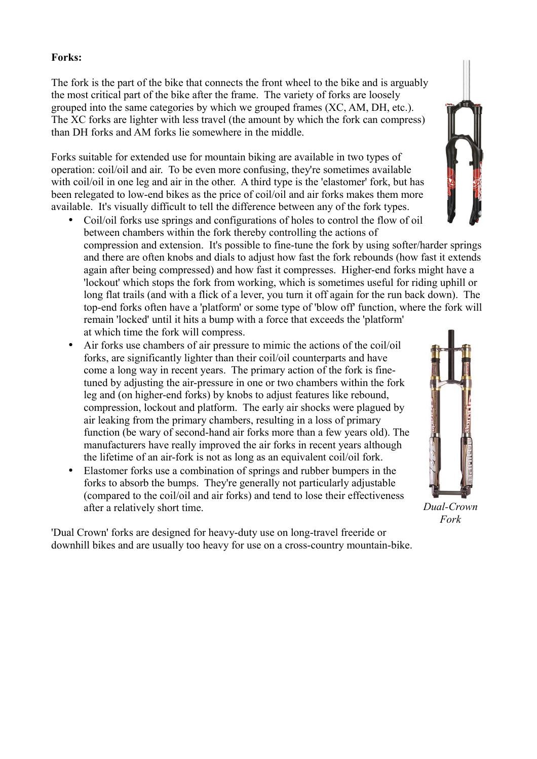#### **Forks:**

The fork is the part of the bike that connects the front wheel to the bike and is arguably the most critical part of the bike after the frame. The variety of forks are loosely grouped into the same categories by which we grouped frames (XC, AM, DH, etc.). The XC forks are lighter with less travel (the amount by which the fork can compress) than DH forks and AM forks lie somewhere in the middle.

Forks suitable for extended use for mountain biking are available in two types of operation: coil/oil and air. To be even more confusing, they're sometimes available with coil/oil in one leg and air in the other. A third type is the 'elastomer' fork, but has been relegated to low-end bikes as the price of coil/oil and air forks makes them more available. It's visually difficult to tell the difference between any of the fork types.

- Coil/oil forks use springs and configurations of holes to control the flow of oil between chambers within the fork thereby controlling the actions of compression and extension. It's possible to fine-tune the fork by using softer/harder springs and there are often knobs and dials to adjust how fast the fork rebounds (how fast it extends again after being compressed) and how fast it compresses. Higher-end forks might have a 'lockout' which stops the fork from working, which is sometimes useful for riding uphill or long flat trails (and with a flick of a lever, you turn it off again for the run back down). The top-end forks often have a 'platform' or some type of 'blow off' function, where the fork will remain 'locked' until it hits a bump with a force that exceeds the 'platform' at which time the fork will compress.
- Air forks use chambers of air pressure to mimic the actions of the coil/oil forks, are significantly lighter than their coil/oil counterparts and have come a long way in recent years. The primary action of the fork is finetuned by adjusting the air-pressure in one or two chambers within the fork leg and (on higher-end forks) by knobs to adjust features like rebound, compression, lockout and platform. The early air shocks were plagued by air leaking from the primary chambers, resulting in a loss of primary function (be wary of second-hand air forks more than a few years old). The manufacturers have really improved the air forks in recent years although the lifetime of an air-fork is not as long as an equivalent coil/oil fork.
- Elastomer forks use a combination of springs and rubber bumpers in the forks to absorb the bumps. They're generally not particularly adjustable (compared to the coil/oil and air forks) and tend to lose their effectiveness after a relatively short time.

'Dual Crown' forks are designed for heavy-duty use on long-travel freeride or downhill bikes and are usually too heavy for use on a cross-country mountain-bike.



*Dual-Crown Fork*